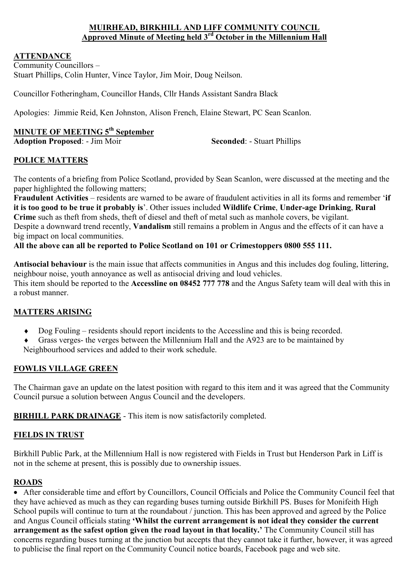#### **MUIRHEAD, BIRKHILL AND LIFF COMMUNITY COUNCIL Approved Minute of Meeting held 3rd October in the Millennium Hall**

#### **ATTENDANCE**

Community Councillors – Stuart Phillips, Colin Hunter, Vince Taylor, Jim Moir, Doug Neilson.

Councillor Fotheringham, Councillor Hands, Cllr Hands Assistant Sandra Black

Apologies: Jimmie Reid, Ken Johnston, Alison French, Elaine Stewart, PC Sean Scanlon.

# **MINUTE OF MEETING 5th September**

**Adoption Proposed:** - Jim Moir **Seconded:** - Stuart Phillips

#### **POLICE MATTERS**

The contents of a briefing from Police Scotland, provided by Sean Scanlon, were discussed at the meeting and the paper highlighted the following matters;

**Fraudulent Activities** – residents are warned to be aware of fraudulent activities in all its forms and remember '**if it is too good to be true it probably is**'. Other issues included **Wildlife Crime**, **Under-age Drinking**, **Rural Crime** such as theft from sheds, theft of diesel and theft of metal such as manhole covers, be vigilant. Despite a downward trend recently, **Vandalism** still remains a problem in Angus and the effects of it can have a big impact on local communities.

#### **All the above can all be reported to Police Scotland on 101 or Crimestoppers 0800 555 111.**

**Antisocial behaviour** is the main issue that affects communities in Angus and this includes dog fouling, littering, neighbour noise, youth annoyance as well as antisocial driving and loud vehicles. This item should be reported to the **Accessline on 08452 777 778** and the Angus Safety team will deal with this in a robust manner.

#### **MATTERS ARISING**

- ♦ Dog Fouling residents should report incidents to the Accessline and this is being recorded.
- Grass verges- the verges between the Millennium Hall and the A923 are to be maintained by Neighbourhood services and added to their work schedule.

#### **FOWLIS VILLAGE GREEN**

The Chairman gave an update on the latest position with regard to this item and it was agreed that the Community Council pursue a solution between Angus Council and the developers.

**BIRHILL PARK DRAINAGE** - This item is now satisfactorily completed.

#### **FIELDS IN TRUST**

Birkhill Public Park, at the Millennium Hall is now registered with Fields in Trust but Henderson Park in Liff is not in the scheme at present, this is possibly due to ownership issues.

#### **ROADS**

• After considerable time and effort by Councillors, Council Officials and Police the Community Council feel that they have achieved as much as they can regarding buses turning outside Birkhill PS. Buses for Monifeith High School pupils will continue to turn at the roundabout / junction. This has been approved and agreed by the Police and Angus Council officials stating **'Whilst the current arrangement is not ideal they consider the current arrangement as the safest option given the road layout in that locality.'** The Community Council still has concerns regarding buses turning at the junction but accepts that they cannot take it further, however, it was agreed to publicise the final report on the Community Council notice boards, Facebook page and web site.